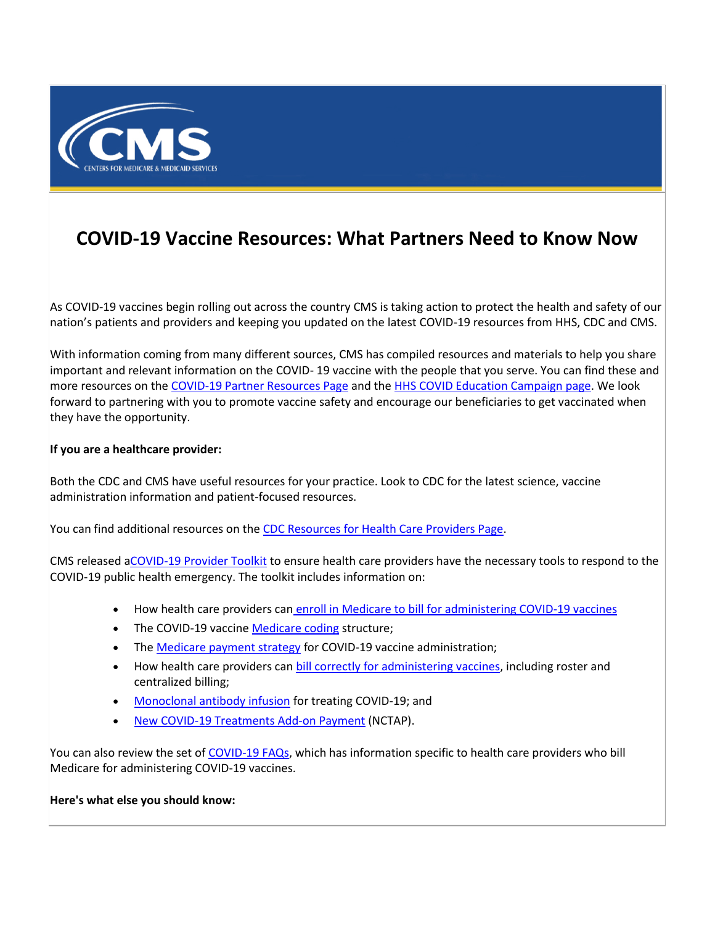

## **COVID-19 Vaccine Resources: What Partners Need to Know Now**

As COVID-19 vaccines begin rolling out across the country CMS is taking action to protect the health and safety of our nation's patients and providers and keeping you updated on the latest COVID-19 resources from HHS, CDC and CMS.

With information coming from many different sources, CMS has compiled resources and materials to help you share important and relevant information on the COVID- 19 vaccine with the people that you serve. You can find these and more resources on th[e COVID-19 Partner Resources Page](https://lnks.gd/l/eyJhbGciOiJIUzI1NiJ9.eyJidWxsZXRpbl9saW5rX2lkIjoxMDAsInVyaSI6ImJwMjpjbGljayIsImJ1bGxldGluX2lkIjoiMjAyMTAxMjkuMzQyNTE2NTEiLCJ1cmwiOiJodHRwczovL3d3dy5jbXMuZ292L291dHJlYWNoLWVkdWNhdGlvbi9wYXJ0bmVyLXJlc291cmNlcy9jb3JvbmF2aXJ1cy1jb3ZpZC0xOS1wYXJ0bmVyLXRvb2xraXQifQ.gUk0g1DxJ5aueyz0TyTs9zUWv3NkEgZFHQ2qA45Rit0/s/1086872215/br/94946179983-l) and th[e HHS COVID Education Campaign page.](https://lnks.gd/l/eyJhbGciOiJIUzI1NiJ9.eyJidWxsZXRpbl9saW5rX2lkIjoxMDEsInVyaSI6ImJwMjpjbGljayIsImJ1bGxldGluX2lkIjoiMjAyMTAxMjkuMzQyNTE2NTEiLCJ1cmwiOiJodHRwczovL3d3dy5oaHMuZ292L2Nvcm9uYXZpcnVzL2VkdWNhdGlvbi1jYW1wYWlnbiJ9.IJVCO9MFxp_2xDQSIWf8brwRGzBucz2XWRiGeTQPZDE/s/1086872215/br/94946179983-l) We look forward to partnering with you to promote vaccine safety and encourage our beneficiaries to get vaccinated when they have the opportunity.

## **If you are a healthcare provider:**

Both the CDC and CMS have useful resources for your practice. Look to CDC for the latest science, vaccine administration information and patient-focused resources.

You can find additional resources on the [CDC Resources for Health Care Providers Page.](https://lnks.gd/l/eyJhbGciOiJIUzI1NiJ9.eyJidWxsZXRpbl9saW5rX2lkIjoxMDIsInVyaSI6ImJwMjpjbGljayIsImJ1bGxldGluX2lkIjoiMjAyMTAxMjkuMzQyNTE2NTEiLCJ1cmwiOiJodHRwczovL3d3dy5jZGMuZ292L3ZhY2NpbmVzL3NjaGVkdWxlcy9oY3AvcmVzb3VyY2VzLmh0bWwifQ.AQgbNK78ef5q8l6l_R1TU5Hhqt_QPkVN9Dk1Xl8XAjY/s/1086872215/br/94946179983-l)

CMS released [aCOVID-19 Provider Toolkit](https://lnks.gd/l/eyJhbGciOiJIUzI1NiJ9.eyJidWxsZXRpbl9saW5rX2lkIjoxMDMsInVyaSI6ImJwMjpjbGljayIsImJ1bGxldGluX2lkIjoiMjAyMTAxMjkuMzQyNTE2NTEiLCJ1cmwiOiJodHRwczovL3d3dy5jbXMuZ292L2NvdmlkdmF4LXByb3ZpZGVyIn0.I-q232k100EKBGaf_DA8ubPvK-x-C2SCN_O59AJrWGw/s/1086872215/br/94946179983-l) to ensure health care providers have the necessary tools to respond to the COVID-19 public health emergency. The toolkit includes information on:

- How health care providers can [enroll in Medicare to bill for administering COVID-19 vaccines](https://lnks.gd/l/eyJhbGciOiJIUzI1NiJ9.eyJidWxsZXRpbl9saW5rX2lkIjoxMDQsInVyaSI6ImJwMjpjbGljayIsImJ1bGxldGluX2lkIjoiMjAyMTAxMjkuMzQyNTE2NTEiLCJ1cmwiOiJodHRwczovL3d3dy5jbXMuZ292L21lZGljYXJlL2NvdmlkLTE5L2Vucm9sbG1lbnQtYWRtaW5pc3RlcmluZy1jb3ZpZC0xOS12YWNjaW5lLXNob3RzIn0.6V6WliODBIK6bFDBpUXewTohQ25id2r9bagBNswn4PM/s/1086872215/br/94946179983-l)
- The COVID-19 vaccin[e Medicare coding](https://lnks.gd/l/eyJhbGciOiJIUzI1NiJ9.eyJidWxsZXRpbl9saW5rX2lkIjoxMDUsInVyaSI6ImJwMjpjbGljayIsImJ1bGxldGluX2lkIjoiMjAyMTAxMjkuMzQyNTE2NTEiLCJ1cmwiOiJodHRwczovL3d3dy5jbXMuZ292L21lZGljYXJlL2NvdmlkLTE5L2NvZGluZy1jb3ZpZC0xOS12YWNjaW5lLXNob3RzIn0.PbLkz2y3yVbRdvIErWZxUSeEP5fi49FUq9c6WQAfEG4/s/1086872215/br/94946179983-l) structure;
- The [Medicare payment strategy](https://lnks.gd/l/eyJhbGciOiJIUzI1NiJ9.eyJidWxsZXRpbl9saW5rX2lkIjoxMDYsInVyaSI6ImJwMjpjbGljayIsImJ1bGxldGluX2lkIjoiMjAyMTAxMjkuMzQyNTE2NTEiLCJ1cmwiOiJodHRwczovL3d3dy5jbXMuZ292L21lZGljYXJlL2NvdmlkLTE5L21lZGljYXJlLWNvdmlkLTE5LXZhY2NpbmUtc2hvdC1wYXltZW50In0.oBwxg2sov71gzEL5humz5CmSW-hqRyPE-CGSubyxBzI/s/1086872215/br/94946179983-l) for COVID-19 vaccine administration;
- How health care providers can **bill correctly for administering vaccines**, including roster and centralized billing;
- [Monoclonal antibody infusion](https://lnks.gd/l/eyJhbGciOiJIUzI1NiJ9.eyJidWxsZXRpbl9saW5rX2lkIjoxMDgsInVyaSI6ImJwMjpjbGljayIsImJ1bGxldGluX2lkIjoiMjAyMTAxMjkuMzQyNTE2NTEiLCJ1cmwiOiJodHRwczovL3d3dy5jbXMuZ292L21lZGljYXJlL2NvdmlkLTE5L21vbm9jbG9uYWwtYW50aWJvZHktY292aWQtMTktaW5mdXNpb24ifQ.Ep2prikS_Ul9DKp9kqQ8Bp-oMwJ7RDT3V07EBzHmcOg/s/1086872215/br/94946179983-l) for treating COVID-19; and
- [New COVID-19 Treatments Add-on Payment](https://lnks.gd/l/eyJhbGciOiJIUzI1NiJ9.eyJidWxsZXRpbl9saW5rX2lkIjoxMDksInVyaSI6ImJwMjpjbGljayIsImJ1bGxldGluX2lkIjoiMjAyMTAxMjkuMzQyNTE2NTEiLCJ1cmwiOiJodHRwczovL3d3dy5jbXMuZ292L21lZGljYXJlL2NvdmlkLTE5L2NvdmlkLTE5LXRyZWF0bWVudHMtYWRkLXBheW1lbnQtbmN0YXAifQ.AVakmliQYDgtRbVvIJPrzvncih-D7h23gz9RpSEuysY/s/1086872215/br/94946179983-l) (NCTAP).

You can also review the set o[f COVID-19 FAQs,](https://lnks.gd/l/eyJhbGciOiJIUzI1NiJ9.eyJidWxsZXRpbl9saW5rX2lkIjoxMTAsInVyaSI6ImJwMjpjbGljayIsImJ1bGxldGluX2lkIjoiMjAyMTAxMjkuMzQyNTE2NTEiLCJ1cmwiOiJodHRwczovL3d3dy5jbXMuZ292L2ZpbGVzL2RvY3VtZW50LzAzMDkyMDIwLWNvdmlkLTE5LWZhcXMtNTA4LnBkZiJ9.N37ClDhfn_s2oIcer_E965lQdbtDLjU-R9E1vnKjn0Y/s/1086872215/br/94946179983-l) which has information specific to health care providers who bill Medicare for administering COVID-19 vaccines.

**Here's what else you should know:**